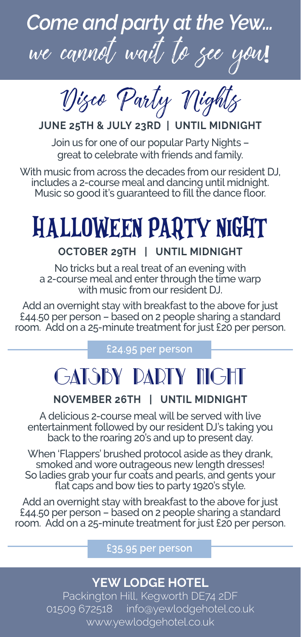

Disco Party Nights

# **JUNE 25TH & JULY 23RD | UNTIL MIDNIGHT**

Join us for one of our popular Party Nights – great to celebrate with friends and family.

With music from across the decades from our resident DJ, includes a 2-course meal and dancing until midnight. Music so good it's guaranteed to fill the dance floor.

# HALLOWEEN PARTY NIGHT

## **OCTOBER 29TH | UNTIL MIDNIGHT**

No tricks but a real treat of an evening with a 2-course meal and enter through the time warp with music from our resident DJ.

Add an overnight stay with breakfast to the above for just £44.50 per person – based on 2 people sharing a standard room. Add on a 25-minute treatment for just £20 per person.

## **£24.95 per person**

# GATSBY PARTY NIGHT

### **NOVEMBER 26TH | UNTIL MIDNIGHT**

A delicious 2-course meal will be served with live entertainment followed by our resident DJ's taking you back to the roaring 20's and up to present day.

When 'Flappers' brushed protocol aside as they drank, smoked and wore outrageous new length dresses! So ladies grab your fur coats and pearls, and gents your flat caps and bow ties to party 1920's style.

Add an overnight stay with breakfast to the above for just £44.50 per person – based on 2 people sharing a standard room. Add on a 25-minute treatment for just £20 per person.

#### **£35.95 per person**

# **YEW LODGE HOTEL**

Packington Hill, Kegworth DE74 2DF 01509 672518 info@yewlodgehotel.co.uk www.yewlodgehotel.co.uk